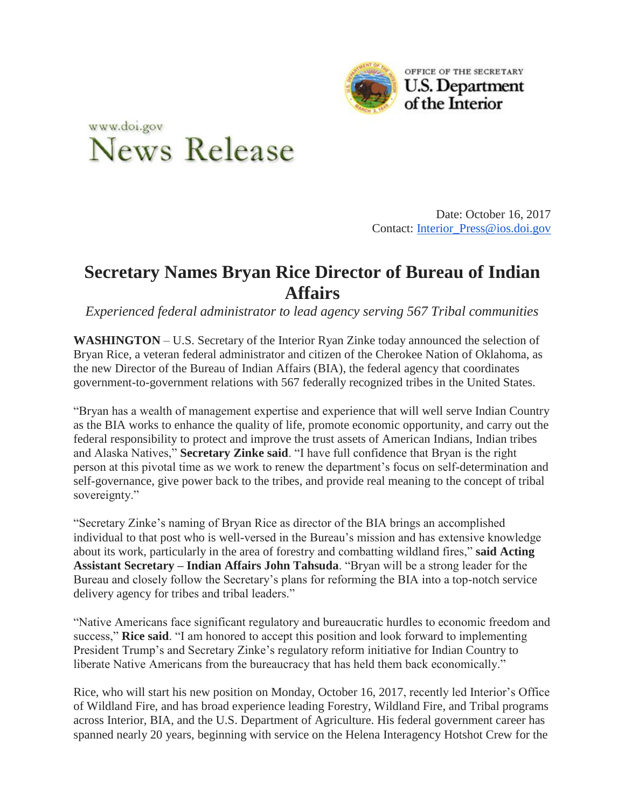

## www.doi.gov **News Release**

Date: October 16, 2017 Contact: [Interior\\_Press@ios.doi.gov](mailto:Interior_Press@ios.doi.gov)

## **Secretary Names Bryan Rice Director of Bureau of Indian Affairs**

*Experienced federal administrator to lead agency serving 567 Tribal communities*

**WASHINGTON** – U.S. Secretary of the Interior Ryan Zinke today announced the selection of Bryan Rice, a veteran federal administrator and citizen of the Cherokee Nation of Oklahoma, as the new Director of the Bureau of Indian Affairs (BIA), the federal agency that coordinates government-to-government relations with 567 federally recognized tribes in the United States.

"Bryan has a wealth of management expertise and experience that will well serve Indian Country as the BIA works to enhance the quality of life, promote economic opportunity, and carry out the federal responsibility to protect and improve the trust assets of American Indians, Indian tribes and Alaska Natives," **Secretary Zinke said**. "I have full confidence that Bryan is the right person at this pivotal time as we work to renew the department's focus on self-determination and self-governance, give power back to the tribes, and provide real meaning to the concept of tribal sovereignty."

"Secretary Zinke's naming of Bryan Rice as director of the BIA brings an accomplished individual to that post who is well-versed in the Bureau's mission and has extensive knowledge about its work, particularly in the area of forestry and combatting wildland fires," **said Acting Assistant Secretary – Indian Affairs John Tahsuda**. "Bryan will be a strong leader for the Bureau and closely follow the Secretary's plans for reforming the BIA into a top-notch service delivery agency for tribes and tribal leaders."

"Native Americans face significant regulatory and bureaucratic hurdles to economic freedom and success," **Rice said**. "I am honored to accept this position and look forward to implementing President Trump's and Secretary Zinke's regulatory reform initiative for Indian Country to liberate Native Americans from the bureaucracy that has held them back economically."

Rice, who will start his new position on Monday, October 16, 2017, recently led Interior's Office of Wildland Fire, and has broad experience leading Forestry, Wildland Fire, and Tribal programs across Interior, BIA, and the U.S. Department of Agriculture. His federal government career has spanned nearly 20 years, beginning with service on the Helena Interagency Hotshot Crew for the